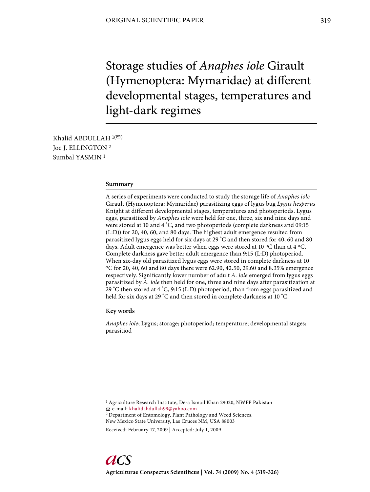Storage studies of *Anaphes iole* Girault (Hymenoptera: Mymaridae) at different developmental stages, temperatures and light-dark regimes

Khalid ABDULLAH  $1($ Joe J. ELLINGTON 2 Sumbal YASMIN 1

### **Summary**

A series of experiments were conducted to study the storage life of *Anaphes iole* Girault (Hymenoptera: Mymaridae) parasitizing eggs of lygus bug *Lygus hesperus* Knight at different developmental stages, temperatures and photoperiods. Lygus eggs, parasitized by *Anaphes iole* were held for one, three, six and nine days and were stored at 10 and 4 °C, and two photoperiods (complete darkness and 09:15  $(L.D)$ ) for 20, 40, 60, and 80 days. The highest adult emergence resulted from parasitized lygus eggs held for six days at 29 °C and then stored for 40, 60 and 80 days. Adult emergence was better when eggs were stored at 10  $\rm{^{\circ}C}$  than at 4  $\rm{^{\circ}C}$ . Complete darkness gave better adult emergence than 9:15 (L:D) photoperiod. When six-day old parasitized lygus eggs were stored in complete darkness at 10 oC for 20, 40, 60 and 80 days there were 62.90, 42.50, 29.60 and 8.35% emergence respectively. Significantly lower number of adult *A. iole* emerged from lygus eggs parasitized by *A. iole* then held for one, three and nine days after parasitization at 29 °C then stored at 4 °C, 9:15 (L:D) photoperiod, than from eggs parasitized and held for six days at 29 °C and then stored in complete darkness at 10 °C.

### **Key words**

*Anaphes iole*; Lygus; storage; photoperiod; temperature; developmental stages; parasitiod

1 Agriculture Research Institute, Dera Ismail Khan 29020, NWFP Pakistan

e-mail: khalidabdullah99@yahoo.com

2 Department of Entomology, Plant Pathology and Weed Sciences, New Mexico State University, Las Cruces NM, USA 88003

Received: February 17, 2009 | Accepted: July 1, 2009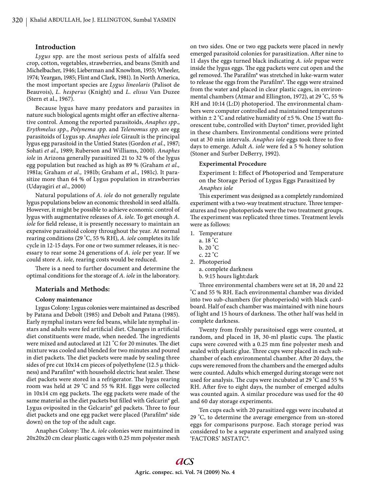### **Introduction**

*Lygus* spp*.* are the most serious pests of alfalfa seed crop, cotton, vegetables, strawberries, and beans (Smith and Michelbacher, 1946; Lieberman and Knowlton, 1955; Wheeler, 1974; Yeargan, 1985; Flint and Clark, 1981). In North America, the most important species are *Lygus lineolaris* (Palisot de Beauvois), *L. hesperus* (Knight) and *L. elisus* Van Duzee (Stern et al., 1967).

Because lygus have many predators and parasites in nature such biological agents might offer an effective alternative control. Among the reported parasitoids, *Anaphes spp*., *Erythmelus spp.*, *Polynema spp*. and *Telenomus spp*. are egg parasitoids of Lygus sp. *Anaphes iole* Girault is the principal lygus egg parasitoid in the Untied States (Gordon *et al.*, 1987; Sohati *et al*., 1989; Ruberson and Williams, 2000). *Anaphes iole* in Arizona generally parasitized 21 to 32 % of the lygus egg population but reached as high as 89 % (Graham *et al.,* 1981a; Graham *et al.,* 1981b; Graham *et al*., 1981c). It parasitize more than 64 % of Lygus population in strawberries (Udayagiri *et al*., 2000)

Natural populations of *A. iole* do not generally regulate lygus populations below an economic threshold in seed alfalfa. However, it might be possible to achieve economic control of lygus with augmentative releases of *A. iole.* To get enough *A. iole* for field release, it is presently necessary to maintain an expensive parasitoid colony throughout the year. At normal rearing conditions (29 °C, 55 % RH), *A. iole* completes its life cycle in 12-15 days. For one or two summer releases, it is necessary to rear some 24 generations of *A. iole* per year. If we could store *A. iole,* rearing costs would be reduced.

There is a need to further document and determine the optimal conditions for the storage of *A. iole* in the laboratory.

### **Materials and Methods:**

### **Colony maintenance**

Lygus Colony: Lygus colonies were maintained as described by Patana and Debolt (1985) and Debolt and Patana (1985). Early nymphal instars were fed beans, while late nymphal instars and adults were fed artificial diet. Changes in artificial diet constituents were made, when needed. The ingredients were mixed and autoclaved at 121 °C for 20 minutes. The diet mixture was cooled and blended for two minutes and poured in diet packets. The diet packets were made by sealing three sides of pre cut 10x14 cm pieces of polyethylene (12.5 μ thickness) and Parafilm® with household electric heat sealer. These diet packets were stored in a refrigerator. The lygus rearing room was held at 29 °C and 55 % RH. Eggs were collected in  $10x14$  cm egg packets. The egg packets were made of the same material as the diet packets but filled with Gelcarin® gel. Lygus oviposited in the Gelcarin<sup>®</sup> gel packets. Three to four diet packets and one egg packet were placed (Parafilm® side down) on the top of the adult cage.

Anaphes Colony: The *A. iole* colonies were maintained in 20x20x20 cm clear plastic cages with 0.25 mm polyester mesh on two sides. One or two egg packets were placed in newly emerged parasitoid colonies for parasitization. After nine to 11 days the eggs turned black indicating *A. iole* pupae were inside the lygus eggs. The egg packets were cut open and the gel removed. The Parafilm® was stretched in luke-warm water to release the eggs from the Parafilm®. The eggs were strained from the water and placed in clear plastic cages, in environmental chambers (Atmar and Ellington, 1972), at 29 °C, 55 % RH and 10:14 (L:D) photoperiod. The environmental chambers were computer controlled and maintained temperatures within  $\pm 2^{\circ}$ C and relative humidity of  $\pm 5$ %. One 15 watt fluorescent tube, controlled with Dayton® timer, provided light in these chambers. Environmental conditions were printed out at 30 min intervals. Anaphes iole eggs took three to five days to emerge. Adult *A. iole* were fed a 5 % honey solution (Stoner and Surber DeBerry, 1992).

### **Experimental Procedure**

Experiment 1: Effect of Photoperiod and Temperature on the Storage Period of Lygus Eggs Parasitized by *Anaphes iole*

This experiment was designed as a completely randomized experiment with a two-way treatment structure. Three temperatures and two photoperiods were the two treatment groups. The experiment was replicated three times. Treatment levels were as follows:

- 1. Temperature
	- a. 18 °C b.  $20^{\circ}$ C
	- c.  $22 \degree C$
- 2. Photoperiod a. complete darkness b. 9:15 hours light:dark

Th ree environmental chambers were set at 18, 20 and 22 °C and 55 % RH. Each environmental chamber was divided into two sub-chambers (for photoperiods) with black cardboard. Half of each chamber was maintained with nine hours of light and 15 hours of darkness. The other half was held in complete darkness.

Twenty from freshly parasitoised eggs were counted, at random, and placed in 18, 30-ml plastic cups. The plastic cups were covered with a 0.25 mm fine polyester mesh and sealed with plastic glue. Three cups were placed in each subchamber of each environmental chamber. After 20 days, the cups were removed from the chambers and the emerged adults were counted. Adults which emerged during storage were not used for analysis. The cups were incubated at 29  $\degree$ C and 55  $\%$ RH. After five to eight days, the number of emerged adults was counted again. A similar procedure was used for the 40 and 60 day storage experiments.

Ten cups each with 20 parasitized eggs were incubated at 29 °C, to determine the average emergence from un-stored eggs for comparisons purpose. Each storage period was considered to be a separate experiment and analyzed using 'FACTORS' MSTATC®.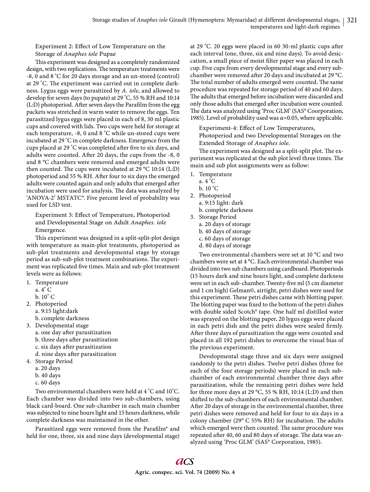Experiment 2: Effect of Low Temperature on the Storage of *Anaphes iole* Pupae

This experiment was designed as a completely randomized design, with two replications. The temperature treatments were -8, 0 and 8 °C for 20 days storage and an un-stored (control) at 29 °C. The experiment was carried out in complete darkness. Lygus eggs were parasitized by *A. iole*, and allowed to develop for seven days (to pupate) at 29 °C, 55 % RH and 10:14 (L:D) photoperiod. After seven days the Parafilm from the egg packets was stretched in warm water to remove the eggs. Ten parasitized lygus eggs were placed in each of 8, 30 ml plastic cups and covered with lids. Two cups were held for storage at each temperature, -8, 0 and 8 °C while un -stored cups were incubated at 29 °C in complete darkness. Emergence from the cups placed at 29 °C was completed after five to six days, and adults were counted. After 20 days, the cups from the -8, 0 and 8 °C chambers were removed and emerged adults were then counted. The cups were incubated at 29  $^{\circ}$ C 10:14 (L:D) photoperiod and 55 % RH. After four to six days the emerged adults were counted again and only adults that emerged after incubation were used for analysis. The data was analyzed by 'ANOVA-2' MSTATC®. Five percent level of probability was used for LSD test.

Experiment 3: Effect of Temperature, Photoperiod and Developmental Stage on Adult *Anaphes. iole* Emergence.

This experiment was designed in a split-split-plot design with temperature as main-plot treatments, photoperiod as sub-plot treatments and developmental stage by storage period as sub-sub-plot treatment combinations. The experiment was replicated five times. Main and sub-plot treatment levels were as follows:

- 1. Temperature
	- a. 4° C
	- b. 10° C
- 2. Photoperiod
	- a. 9:15 light:dark
	- b. complete darkness
- 3. Developmental stage
	- a. one day after parasitization
	- b. three days after parasitization
	- c. six days after parasitization
	- d. nine days after parasitization
- 4. Storage Period
	- a. 20 days
	- b. 40 days
	- c. 60 days

Two environmental chambers were held at 4 °C and 10°C. Each chamber was divided into two sub-chambers, using black card-board. One sub-chamber in each main chamber was subjected to nine hours light and 15 hours darkness, while complete darkness was maintained in the other.

Parasitized eggs were removed from the Parafilm® and held for one, three, six and nine days (developmental stage) at 29 °C. 20 eggs were placed in 60 30-ml plastic cups after each interval (one, three, six and nine days). To avoid desiccation, a small piece of moist filter paper was placed in each cup. Five cups from every developmental stage and every subchamber were removed after 20 days and incubated at 29 °C. The total number of adults emerged were counted. The same procedure was repeated for storage period of 40 and 60 days. The adults that emerged before incubation were discarded and only those adults that emerged after incubation were counted. The data was analyzed using 'Proc GLM' (SAS® Coorporation, 1985). Level of probability used was  $\alpha$ =0.05, where applicable.

Experiment-4: Effect of Low Temperatures, Photoperiod and two Developmental Storages on the Extended Storage of *Anaphes iole*.

The experiment was designed as a split-split plot. The experiment was replicated at the sub plot level three times. The main and sub plot assignments were as follow:

- 1. Temperature
	- a. 4 °C
	- b. 10 °C
- 2. Photoperiod a. 9:15 light: dark
	- b. complete darkness
- 3. Storage Period
	- a. 20 days of storage
	- b. 40 days of storage
	- c. 60 days of storage
	- d. 80 days of storage

Two environmental chambers were set at 10 °C and two chambers were set at 4 °C. Each environmental chamber was divided into two sub chambers using cardboard. Photoperiods (15 hours dark and nine hours light, and complete darkness were set in each sub-chamber. Twenty-five ml (5 cm diameter and 1 cm high) Gelman©, airtight, petri dishes were used for this experiment. These petri dishes came with blotting paper. The blotting paper was fixed to the bottom of the petri dishes with double sided Scotch® tape. One half ml distilled water was sprayed on the blotting paper, 20 lygus eggs were placed in each petri dish and the petri dishes were sealed firmly. After three days of parasitization the eggs were counted and placed in all 192 petri dishes to overcome the visual bias of the previous experiment.

Developmental stage three and six days were assigned randomly to the petri dishes. Twelve petri dishes (three for each of the four storage periods) were placed in each subchamber of each environmental chamber three days after parasitization, while the remaining petri dishes were held for three more days at 29 °C, 55 % RH, 10:14 (L:D) and then shifted to the sub-chambers of each environmental chamber. After 20 days of storage in the environmental chamber, three petri dishes were removed and held for four to six days in a colony chamber (29 $^{\circ}$  C 55% RH) for incubation. The adults which emerged were then counted. The same procedure was repeated after 40, 60 and 80 days of storage. The data was analyzed using 'Proc GLM' (SAS® Corporation, 1985).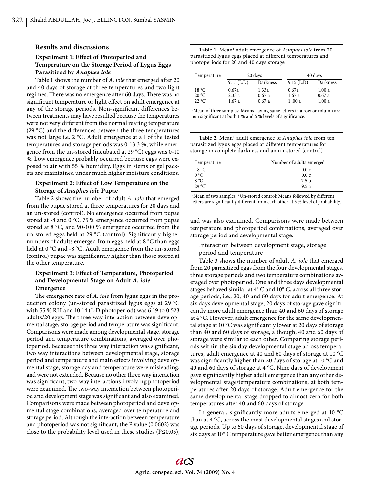### **Results and discussions**

## **Experiment 1: Effect of Photoperiod and Temperature on the Storage Period of Lygus Eggs Parasitized by** *Anaphes iole*

Table 1 shows the number of *A. iole* that emerged after 20 and 40 days of storage at three temperatures and two light regimes. There was no emergence after 60 days. There was no significant temperature or light effect on adult emergence at any of the storage periods. Non-significant differences between treatments may have resulted because the temperatures were not very different from the normal rearing temperature (29 °C) and the differences between the three temperatures was not large i.e. 2 °C. Adult emergence at all of the tested temperatures and storage periods was 0-13.3 %, while emergence from the un-stored (incubated at 29 °C) eggs was 0-10 %. Low emergence probably occurred because eggs were exposed to air with 55 % humidity. Eggs in stems or gel packets are maintained under much higher moisture conditions.

## Experiment 2: Effect of Low Temperature on the **Storage of** *Anaphes iole* **Pupae**

Table 2 shows the number of adult *A. iole* that emerged from the pupae stored at three temperatures for 20 days and an un-stored (control). No emergence occurred from pupae stored at -8 and 0 °C, 75 % emergence occurred from pupae stored at 8 °C, and 90-100 % emergence occurred from the un-stored eggs held at 29  $^{\circ}$ C (control). Significantly higher numbers of adults emerged from eggs held at 8 °C than eggs held at 0 °C and -8 °C. Adult emergence from the un-stored (control) pupae was significantly higher than those stored at the other temperature.

## **Experiment 3: Effect of Temperature, Photoperiod and Developmental Stage on Adult** *A. iole* **Emergence**

The emergence rate of *A. iole* from lygus eggs in the production colony (un-stored parasitized lygus eggs at 29 °C with 55 % RH and 10:14 (L:D photoperiod) was 6.19 to 0.523 adults/20 eggs. The three-way interaction between developmental stage, storage period and temperature was significant. Comparisons were made among developmental stage, storage period and temperature combinations, averaged over photoperiod. Because this three way interaction was significant, two way interactions between developmental stage, storage period and temperature and main effects involving developmental stage, storage day and temperature were misleading, and were not extended. Because no other three way interaction was significant, two-way interactions involving photoperiod were examined. The two-way interaction between photoperiod and development stage was significant and also examined. Comparisons were made between photoperiod and developmental stage combinations, averaged over temperature and storage period. Although the interaction between temperature and photoperiod was not significant, the  $P$  value (0.0602) was close to the probability level used in these studies (P≤0.05),

**Table 1.** Mean1 adult emergence of *Anaphes iole* from 20 parasitized lygus eggs placed at different temperatures and photoperiods for 20 and 40 days storage

| Temperature     | 20 days      |          | 40 days      |          |
|-----------------|--------------|----------|--------------|----------|
|                 | $9:15$ (L:D) | Darkness | $9:15$ (L:D) | Darkness |
| 18 °C           | 0.67a        | 1.33a    | 0.67a        | 1.00 a   |
| 20 °C           | 2.33a        | 0.67a    | 1.67a        | 0.67a    |
| $22^{\circ}$ C' | 1.67 a       | 0.67a    | 1.00 a       | 1.00a    |

<sup>1</sup> Mean of three samples; Means having same letters in a row or column are non significant at both 1 % and 5 % levels of significance.

**Table 2.** Mean1 adult emergence of *Anaphes iole* from ten parasitized lygus eggs placed at different temperatures for storage in complete darkness and an un-stored (control)

| Temperature     | Number of adults emerged |  |
|-----------------|--------------------------|--|
| $-8 °C$         | 0.0c                     |  |
| $0^{\circ}C$    | 0.0c                     |  |
| 8 °C            | 7.5 <sub>b</sub>         |  |
| $29^{\circ}C^2$ | 9.5a                     |  |

 $1$ Mean of two samples;  $2$ Un-stored control; Means followed by different letters are significantly different from each other at 5 % level of probability.

and was also examined. Comparisons were made between temperature and photoperiod combinations, averaged over storage period and developmental stage.

## Interaction between development stage, storage period and temperature

Table 3 shows the number of adult *A. iole* that emerged from 20 parasitized eggs from the four developmental stages, three storage periods and two temperature combinations averaged over photoperiod. One and three days developmental stages behaved similar at 4° C and 10° C, across all three storage periods, i.e., 20, 40 and 60 days for adult emergence. At six days developmental stage, 20 days of storage gave significantly more adult emergence than 40 and 60 days of storage at 4 °C. However, adult emergence for the same developmental stage at 10  $\rm{^oC}$  was significantly lower at 20 days of storage than 40 and 60 days of storage, although, 40 and 60 days of storage were similar to each other. Comparing storage periods within the six day developmental stage across temperatures, adult emergence at 40 and 60 days of storage at 10 °C was significantly higher than 20 days of storage at 10 °C and 40 and 60 days of storage at 4 °C. Nine days of development gave significantly higher adult emergence than any other developmental stage/temperature combinations, at both temperatures after 20 days of storage. Adult emergence for the same developmental stage dropped to almost zero for both temperatures after 40 and 60 days of storage.

In general, significantly more adults emerged at 10  $^{\circ}$ C than at 4 °C, across the most developmental stages and storage periods. Up to 60 days of storage, developmental stage of six days at 10° C temperature gave better emergence than any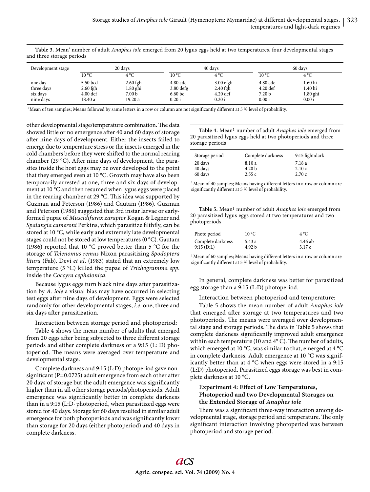| Development stage                              | 20 days                                                 |                                                         | 40 days                                               |                                                   |                                                       | 60 days                                    |  |
|------------------------------------------------|---------------------------------------------------------|---------------------------------------------------------|-------------------------------------------------------|---------------------------------------------------|-------------------------------------------------------|--------------------------------------------|--|
|                                                | $10^{\circ}$ C                                          | $4^{\circ}C$                                            | $10^{\circ}$ C                                        | $4^{\circ}C$                                      | $10^{\circ}$ C                                        | $4^{\circ}C$                               |  |
| one day<br>three days<br>six days<br>nine days | 5.50 bcd<br>$2.60$ fgh<br>$4.00 \text{ def}$<br>18.40 a | $2.60$ fgh<br>$1.80$ ghi<br>7.00 <sub>b</sub><br>19.20a | 4.80 cde<br>3.80 defg<br>6.60 <sub>bc</sub><br>0.20 i | $3.00$ efgh<br>$2.40$ fgh<br>$4.20$ def<br>0.20 i | 4.80 cde<br>$4.20$ def<br>7.20 <sub>b</sub><br>0.00 i | 1.60 hi<br>1.40 hi<br>$1.80$ ghi<br>0.00 i |  |

**Table 3.** Mean' number of adult *Anaphes iole* emerged from 20 lygus eggs held at two temperatures, four developmental stages and three storage periods

1 Mean of ten samples; Means followed by same letters in a row or column are not significantly different at 5 % level of probability.

other developmental stage/temperature combination. The data showed little or no emergence after 40 and 60 days of storage after nine days of development. Either the insects failed to emerge due to temperature stress or the insects emerged in the cold chambers before they were shifted to the normal rearing chamber (29 °C). After nine days of development, the parasites inside the host eggs may be over developed to the point that they emerged even at 10 °C. Growth may have also been temporarily arrested at one, three and six days of development at 10 °C and then resumed when lygus eggs were placed in the rearing chamber at 29 °C. This idea was supported by Guzman and Peterson (1986) and Gautam (1986). Guzman and Peterson (1986) suggested that 3rd instar larvae or earlyformed pupae of *Muscidifurax zaraptor* Kogan & Legner and Spalangia cameroni Perkins, which parasitize filthfly, can be stored at 10 °C, while early and extremely late developmental stages could not be stored at low temperatures (0 °C). Gautam (1986) reported that 10 °C proved better than 5 °C for the storage of *Telenomus remus* Nixon parasitizing *Spodoptera litura* (Fab). Devi *et al*. (1983) stated that an extremely low temperature (5 °C) killed the pupae of *Trichogramma spp*. inside the *Coccyra cephalonica.*

Because lygus eggs turn black nine days after parasitization by *A. iole* a visual bias may have occurred in selecting test eggs after nine days of development. Eggs were selected randomly for other developmental stages, *i.e*. one, three and six days after parasitization.

Interaction between storage period and photoperiod:

Table 4 shows the mean number of adults that emerged from 20 eggs after being subjected to three different storage periods and either complete darkness or a 9:15 (L: D) photoperiod. The means were averaged over temperature and developmental stage.

Complete darkness and 9:15 (L:D) photoperiod gave nonsignificant (P=0.0725) adult emergence from each other after 20 days of storage but the adult emergence was significantly higher than in all other storage periods/photoperiods. Adult emergence was significantly better in complete darkness than in a 9:15 (L:D· photoperiod, when parasitized eggs were stored for 40 days. Storage for 60 days resulted in similar adult emergence for both photoperiods and was significantly lower than storage for 20 days (either photoperiod) and 40 days in complete darkness.

Table 4. Mean<sup>1</sup> number of adult *Anaphes iole* emerged from 20 parasitized lygus eggs held at two photoperiods and three storage periods

| Storage period | Complete darkness | 9:15 light:dark |
|----------------|-------------------|-----------------|
| 20 days        | 8.10 a            | 7.18 a          |
| 40 days        | 4.20 <sub>b</sub> | 2.10c           |
| 60 days        | 2.55c             | 2.70c           |

<sup>1</sup> Mean of 40 samples; Means having different letters in a row or column are significantly different at 5 % level of probability.

**Table 5.** Mean1 number of adult *Anaphes iole* emerged from 20 parasitized lygus eggs stored at two temperatures and two photoperiods

| Photo period      | $10^{\circ}$ C | $4^{\circ}C$ |  |
|-------------------|----------------|--------------|--|
| Complete darkness | 5.43 a         | 4.46 ab      |  |
| 9:15(D:L)         | 4.92 b         | 3.17c        |  |

<sup>1</sup> Mean of 60 samples; Means having different letters in a row or column are significantly different at 5 % level of probability.

In general, complete darkness was better for parasitized egg storage than a 9:15 (L:D) photoperiod.

Interaction between photoperiod and temperature:

Table 5 shows the mean number of adult *Anaphes iole* that emerged after storage at two temperatures and two photoperiods. The means were averaged over developmental stage and storage periods. The data in Table 5 shows that complete darkness significantly improved adult emergence within each temperature (10 and 4°C). The number of adults, which emerged at 10 °C, was similar to that, emerged at 4 °C in complete darkness. Adult emergence at 10 °C was significantly better than at 4 °C when eggs were stored in a 9:15 (L:D) photoperiod. Parasitized eggs storage was best in complete darkness at 10 °C.

# **Experiment 4: Effect of Low Temperatures, Photoperiod and two Developmental Storages on the Extended Storage of** *Anaphes iole*

There was a significant three-way interaction among developmental stage, storage period and temperature. The only significant interaction involving photoperiod was between photoperiod and storage period.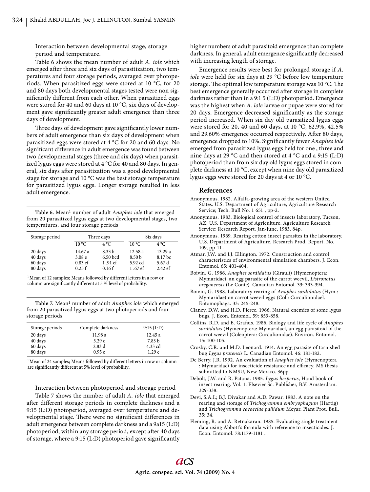Interaction between developmental stage, storage period and temperature.

Table 6 shows the mean number of adult *A. iole* which emerged after three and six days of parasitization, two temperatures and four storage periods, averaged over photoperiods. When parasitized eggs were stored at 10 °C, for 20 and 80 days both developmental stages tested were non significantly different from each other. When parasitized eggs were stored for 40 and 60 days at 10 °C, six days of development gave significantly greater adult emergence than three days of development.

Three days of development gave significantly lower numbers of adult emergence than six days of development when parasitized eggs were stored at 4 °C for 20 and 60 days. No significant difference in adult emergence was found between two developmental stages (three and six days) when parasitized lygus eggs were stored at 4 °C for 40 and 80 days. In general, six days after parasitization was a good developmental stage for storage and 10 °C was the best storage temperature for parasitized lygus eggs. Longer storage resulted in less adult emergence.

**Table 6.** Mean1 number of adult *Anaphes iole* that emerged from 20 parasitized lygus eggs at two developmental stages, two temperatures, and four storage periods

| Storage period                           | Three days                                          |                                                             | Six days                                          |                                         |
|------------------------------------------|-----------------------------------------------------|-------------------------------------------------------------|---------------------------------------------------|-----------------------------------------|
|                                          | $10^{\circ}$ C                                      | $4^{\circ}C$                                                | $10^{\circ}$ C                                    | $4^{\circ}C$                            |
| 20 days<br>40 days<br>60 days<br>80 days | 14.67 a<br>3.08 <sub>e</sub><br>$0.83$ ef<br>0.25 f | 8.33 <sub>b</sub><br>6.50 bcd<br>$1.91 \text{ ef}$<br>0.16f | 12.58a<br>8.50 <sub>b</sub><br>5.92 cd<br>1.67 ef | 13.29a<br>8.17 bc<br>5.67d<br>$2.42$ ef |

<sup>1</sup> Mean of 12 samples; Means followed by different letters in a row or column are significantly different at 5 % level of probability.

**Table 7.** Mean1 number of adult *Anaphes iole* which emerged from 20 parasitized lygus eggs at two photoperiods and four storage periods

| Storage periods | Complete darkness | $9:15$ (L:D) |
|-----------------|-------------------|--------------|
| 20 days         | 11.98 a           | 12.45a       |
| 40 days         | 5.29c             | 7.83 b       |
| 60 days         | 2.83d             | 4.33 cd      |
| 80 days         | 0.95e             | 1.29e        |

<sup>1</sup> Mean of 24 samples; Means followed by different letters in row or column are significantly different at 5% level of probability.

Interaction between photoperiod and storage period

Table 7 shows the number of adult *A. iole* that emerged after different storage periods in complete darkness and a 9:15 (L:D) photoperiod, averaged over temperature and developmental stage. There were no significant differences in adult emergence between complete darkness and a 9a15 (L:D) photoperiod, within any storage period, except after 40 days of storage, where a 9:15 (L:D) photoperiod gave significantly higher numbers of adult parasitoid emergence than complete darkness. In general, adult emergence significantly decreased with increasing length of storage.

Emergence results were best for prolonged storage if *A. iole* were held for six days at 29 °C before low temperature storage. The optimal low temperature storage was 10 °C. The best emergence generally occurred after storage in complete darkness rather than in a 9:1 5 (L:D) photoperiod. Emergence was the highest when *A. iole* larvae or pupae were stored for 20 days. Emergence decreased significantly as the storage period increased. When six day old parasitized lygus eggs were stored for 20, 40 and 60 days, at 10 °C, 62.9%, 42.5% and 29.60% emergence occurred respectively. After 80 days, emergence dropped to 10%. Significantly fewer *Anaphes iole* emerged from parasitized lygus eggs held for one , three and nine days at 29 °C and then stored at 4 °C and a 9:15 (L:D) photoperiod than from six day old lygus eggs stored in complete darkness at 10 °C, except when nine day old parasitized lygus eggs were stored for 20 days at 4 or 10 °C.

## **References**

- Anonymous. 1982. Alfalfa-growing area of the western United States. U.S. Department of Agriculture, Agriculture Research Service; Tech. Bull No. 1 651 , pp-2.
- Anonymous. 1983. Biological control of insects laboratory, Tucson, AZ. U.S. Department of Agriculture, Agriculture Research Service; Research Report. Jan-June, 1983. 84p.
- Anonymous. 1969. Rearing cotton insect parasites in the laboratory. U.S. Department of Agriculture, Research Prod. Report. No. 109, pp-11 .
- Atmar, J.W. and J.J. Ellington. 1972. Construction and control characteristics of environmental simulation chambers. J. Econ. Entomol. 65: 401-404.
- Boivin, G. 1986. *Anaphes sordidatus* (Girault) (Hymenoptera: Mymaridae), an egg parasite of the carrot weevil, *Listronotus oregonensis* (Le Conte). Canadian Entomol. 33: 393-394.
- Boivin, G. 1988. Laboratory rearing of *Anaphes sordidatus* (Hym.: Mymaridae) on carrot weevil eggs (Col.: Curculionidael. Entomophaga. 33: 245-248.
- Clancy, D.W. and H.D. Pierce. 1966. Natural enemies of some lygus bugs. J. Econ. Entomol. 59: 853-858.
- Collins, R.D. and E. Grafius. 1986. Biology and life cycle of *Anaphes sordidatus* (Hymenoptera: Mymaridael, an egg parasitoid of the carrot weevil (Coleoptera: Curculionidae). Environ. Entomol. 15: 100-105.
- Crosby, C.R. and M.D. Leonard. 1914. An egg parasite of tarnished bug *Lygus pratensis* L. Canadian Entomol. 46: 181-182.
- De Berry, J.R. 1992. An evaluation of *Anaphes iole* (Hymenoptera : Mymaridae) for insecticide resistance and efficacy. MS thesis submitted to NMSU, New Mexico. 36pp.
- Debolt, J.W. and R. Patana. 1985. *Lygus hesperus*, Hand book of insect rearing. Vol. 1. Elsevier Sc. Publisher, B.V. Amsterdam. 329-338.
- Devi, S.A.I.; B.J. Divakar and A.D. Pawar. 1983. A note on the rearing and storage of *Trichogramma embryophagum* (Hartig) and *Trichogramma cacoeciae pallidum* Meyar. Plant Prot. Bull. 35: 34.
- Fleming, R. and A. Retnakaran. 1985. Evaluating single treatment data using Abbott's formula with reference to insecticides. J. Econ. Entomol. 78:1179-1181 .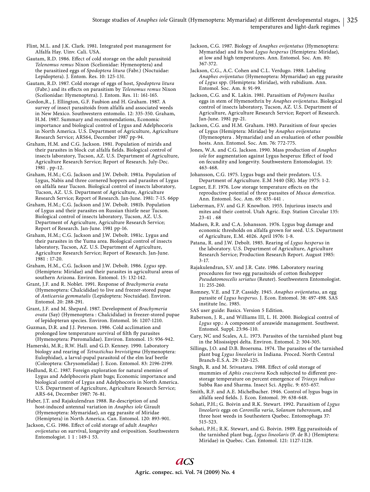Flint, M.L. and J.K. Clark. 1981. Integrated pest management for Alfalfa Hay. Uinv. Cali. USA.

Gautam, R.D. 1986. Effect of cold storage on the adult parasitoid *Telenomus remus* Nixon (Scelionidae: Hymenoptera) and the parasitized eggs of *Spodoptera litura* (Fabr.) (Noctuidae: Lepidoptera). J. Entom. Res. 10: 125-131.

Gautam, R.D. 1987. Cold storage of eggs of host, *Spodoptera litura* (Fabr.) and its effects on parasitism by *Telenomus remus* Nixon (Scelionidae: Hymenoptera). J. Entom. Res. 11: 161-165.

Gordon,R., J. Ellington, G.F. Faubion and H. Graham. 1987. A survey of insect parasitoids from alfalfa and associated weeds in New Mexico. Southwestern entomolo. 12: 335-350. Graham, H.M. 1987. Summary and recommendations, Economic importance and biological control of Lygus and Adelphocoris in North America. U.S. Department of Agriculture, Agriculture Research Service; ARS64, December 1987 pp-94.

Graham, H.M. and C.G. Jackson. 1981. Population of mirids and their parasites in block cut alfalfa fields. Biological control of insects laboratory, Tucson, AZ. U.S. Department of Agriculture, Agriculture Research Service; Report of Research. July-Dec. 1981 . pp-12.

Graham, H.M.; C.G. Jackson and J.W. Debolt. 1981a. Population of Lygus, Nabis and three cornered hoppers and parasites of Lygus on alfalfa near Tucson. Biological control of insects laboratory, Tucson, AZ. U.S. Department of Agriculture, Agriculture Research Service; Report of Research. Jan-June. 1981: 7-15. 66pp

Graham, H.M.; C.G. Jackson and J.W. Debolt. 1981b. Population of Lygus and their parasites on Russian thistle near Tucson. Biological control of insects laboratory, Tucson, AZ. U.S. Department of Agriculture, Agriculture Research Service; Report of Research. Jan-June. 1981 pp-16.

Graham, H.M.; C.G. Jackson and J.W. Debolt. 1981c. Lygus and their parasites in the Yuma area. Biological control of insects laboratory, Tucson, AZ. U.S. Department of Agriculture, Agriculture Research Service; Report of Research. Jan-June. 1981 : 17-20.

Graham, H.M., C.G. Jackson and J.W. Debolt. 1986. *Lygus* spp. (Hemiptera: Miridae) and their parasites in agricultural areas of southern Arizona. Environ. Entomol. 15: 132-142.

Grant, J.F. and R. Noblet. 1991. Response of *Brachymeria ovata* (Hymenoptera: Chalcididae) to live and freezer-stored pupae of *Anticarsia gemmatalis* (Lepidoptera: Noctuidae). Environ. Entomol. 20: 288-291.

Grant, J.F. and M. Shepard. 1987. Development of *Brachymeria ovata* (Say) (Hymenoptera : Chalcididae) in freezer-stored pupae of lepidopteran species. Environ. Entomol. 16: 1207-1210.

Guzman, D.R. and J.J. Peterson. 1986. Cold acclimation and prolonged low temperature survival of filth fly parasites (Hymenoptera: Pteromalidae). Environ. Entomol. 15: 936-942.

Hamerski, M.R.; R.W. Hall. and G.D. Kenney. 1990. Laboratory biology and rearing of *Tetrastichus brevistigma* (Hymenoptera: Eulophidae), a larval-pupal parasitoid of the elm leaf beetle (Coleoptera: Chrysomelidae) J. Econ. Entomol. 83: 2196-2199.

Hedlund, R.C. 1987. Foreign exploration for natural enemies of Lygus and Adelphocoris plant bugs; Economic importance and biological control of Lygus and Adelphocoris in North America. U.S. Department of Agriculture, Agriculture Research Service; ARS-64, December 1987: 76-81.

Huber, J.T. and Rajakulendran 1988. Re-description of and host-induced antennal variation in *Anaphes iole* Girault (Hymenoptera: Mymaridae), an egg parasite of Miridae (Hemiptera) in North America. Can. Entomol. 120: 893-901.

Jackson, C.G. 1986. Effect of cold storage of adult *Anaphes ovijentatus* on survival, longevity and oviposition. Southwestern Entomologist. 1 1 : 149-1 53.

Jackson, C.G. 1987. Biology of *Anaphes ovijentatus* (Hymenoptera: Mymaridae) and its host *Lygus hesperus* (Hemiptera: Miridae), at low and high temperatures. Ann. Entomol. Soc. Am. 80: 367-372.

Jackson, C.G., A.C. Cohen and C.L. Verdugo. 1988. Labeling *Anaphes ovijentatus* (Hymenoptera: Mymaridae) an egg parasite of *Lygus* spp. (Hemiptera: Miridae), with rubidium. Ann. Entomol. Soc. Am. 8: 91-99.

Jackson, C.G. and K. Lakin. 1981. Parasitism of *Polymers basilus* eggs in stem of Hymenothrix by *Anaphes ovijentatus*. Biological control of insects laboratory, Tucson, AZ. U.S. Department of Agriculture, Agriculture Research Service; Report of Research. Jan-June. 1981 pp-21.

Jackson, C.G. and H.M. Graham. 1983. Parasitism of four species of Lygus (Hemiptera: Miridae) by *Anaphes ovijentatus* (Hymenoptera . Mymaridae) and an evaluation of other possible hosts. Ann. Entomol. Soc. Am. 76: 772-775.

Jones, W.A. and C.G. Jackson. 1990. Mass production of *Anaphes iole* for augmentation against Lygus hesperus: Effect of food on fecundity and longevity. Southwestern Entomologist. 15: 463-468.

Johansson, C.G. 1975. Lygus bugs and their predators. U.S. Department of Agriculture. E.M 3440 (SR). May 1975: 1-2.

Legner, E.F. 1976. Low storage temperature effects on the reproductive potential of three parasites of *Musca domestica*. Ann. Entomol. Soc. Am. 69: 435-441 .

Lieberman, F.V. and G.F. Knowlton. 1955. Injurious insects and mites and their control. Utah Agric. Exp. Station Circular 135: 23-41 . 68

Madsen, R.R. and C.A. Johansson. 1976. Lygus bug damage and economic thresholds on alfalfa grown for seed. U.S. Department of Agriculture, E.M. 4026. April 1976: 1-8.

Patana, R. and J.W. Debolt. 1985. Rearing of *Lygus hesperus* in the laboratory. U.S. Department of Agriculture, Agriculture Research Service; Production Research Report. August 1985: 3-17.

Rajakulendran, S.V. and J.R. Cate. 1986. Laboratory rearing procedures for two egg parasitoids of cotton fleahopper *Pseudatomoscelis seriatus* (Reuter). Southwestern Entomologist. 11: 255-260.

Romney, V.E. and T.P. Cassidy. 1945. *Anaphes ovijentatus*, an egg parasite of *Lygus hesperus*. J. Econ. Entomol. 38: 497-498. SAS institute Inc. 1985.

SAS user guide: Basics. Version 5 Edition.

Ruberson, J. R., and Williams III, L. H. 2000. Biological control of *Lygus* spp.: A component of areawide management. Southwest. Entomol. Suppl. 23:96-110.

Cary, NC and Scales, A.L. 1973. Parasites of the tarnished plant bug in the Mississippi delta. Environ. Entomol. 2: 304-305.

Sillings, J.O. and D.B. Broersma. 1974. The parasites of the tarnished plant bug *Lygus lineolaris* in Indiana. Proced. North Central Branch-E.S.A. 29: 120-125.

Singh, R. and M. Srivastava. 1988. Effect of cold storage of mummies of *Aphis craccivora* Koch subjected to different prestorage temperature on percent emergence of *Trioxys indicus* Subba Rao and Sharma. Insect Sci. Applic. 9: 655-657.

Smith, R.F. and A.E. Michelbacher. 1946. Control of lygus bugs in alfalfa seed fields. J. Econ. Entomol. 39: 638-648.

Sohati, P.H.; G. Boivin and R.K. Stewart. 1992. Parasitism of *Lygus lineolaris* eggs on *Coronilla varia*, *Solanum tuberosum*, and three host weeds in Southestern Quebec. Entomophaga 37: 515-523.

Sohati, P.H.; R.K. Stewart, and G. Boivin. 1989. Egg parasitoids of the tarnished plant bug, *Lygus lineolaris* (P. de B.) (Hemiptera: Miridae) in Quebec. Can. Entomol. 121: 1127-1128.